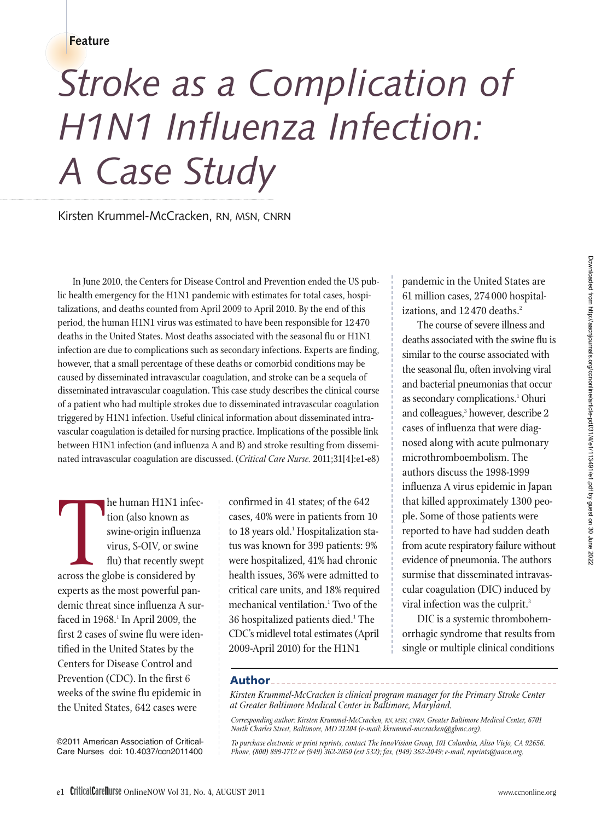**Feature**

# *Stroke as a Complication of H1N1 Influenza Infection: A Case Study*

Kirsten Krummel-McCracken, RN, MSN, CNRN

In June 2010, the Centers for Disease Control and Prevention ended the US public health emergency for the H1N1 pandemic with estimates for total cases, hospitalizations, and deaths counted from April 2009 to April 2010. By the end of this period, the human H1N1 virus was estimated to have been responsible for 12 470 deaths in the United States. Most deaths associated with the seasonal flu or H1N1 infection are due to complications such as secondary infections. Experts are finding, however, that a small percentage of these deaths or comorbid conditions may be caused by disseminated intravascular coagulation, and stroke can be a sequela of disseminated intravascular coagulation. This case study describes the clinical course of a patient who had multiple strokes due to disseminated intravascular coagulation triggered by H1N1 infection. Useful clinical information about disseminated intra vascular coagulation is detailed for nursing practice. Implications of the possible link between H1N1 infection (and influenza A and B) and stroke resulting from disseminated intravascular coagulation are discussed. (*Critical Care Nurse.* 2011;31[4]:e1-e8)

tion (also known as<br>swine-origin influenz<br>virus, S-OIV, or swine<br>flu) that recently swe<br>across the globe is considered by he human H1N1 infection (also known as swine-origin influenza virus, S-OIV, or swine flu) that recently swept experts as the most powerful pandemic threat since influenza A surfaced in  $1968.<sup>1</sup>$  In April 2009, the first 2 cases of swine flu were identified in the United States by the Centers for Disease Control and Prevention (CDC). In the first 6 weeks of the swine flu epidemic in the United States, 642 cases were

confirmed in 41 states; of the 642 cases, 40% were in patients from 10 to 18 years old.<sup>1</sup> Hospitalization status was known for 399 patients: 9% were hospitalized, 41% had chronic health issues, 36% were admitted to critical care units, and 18% required mechanical ventilation.<sup>1</sup> Two of the 36 hospitalized patients died.<sup>1</sup> The CDC's midlevel total estimates (April 2009-April 2010) for the H1N1

pandemic in the United States are 61 million cases, 274 000 hospitalizations, and 12470 deaths.<sup>2</sup>

The course of severe illness and deaths associated with the swine flu is similar to the course associated with the seasonal flu, often involving viral and bacterial pneumonias that occur as secondary complications.<sup>1</sup> Ohuri and colleagues,<sup>3</sup> however, describe 2 cases of influenza that were diagnosed along with acute pulmonary microthromboembolism. The authors discuss the 1998-1999 influenza A virus epidemic in Japan that killed approximately 1300 people. Some of those patients were reported to have had sudden death from acute respiratory failure without evidence of pneumonia. The authors surmise that disseminated intravascular coagulation (DIC) induced by viral infection was the culprit.<sup>3</sup>

DIC is a systemic thrombohemorrhagic syndrome that results from single or multiple clinical conditions

## **Author**

*Kirsten Krummel-McCracken is clinical program manager for the Primary Stroke Center at Greater Baltimore Medical Center in Baltimore, Maryland.*

*Corresponding author: Kirsten Krummel-McCracken, RN, MSN, CNRN, Greater Baltimore Medical Center, 6701 North Charles Street, Baltimore, MD 21204 (e-mail: kkrummel-mccracken@gbmc.org).*

*To purchase electronic or print reprints, contact The InnoVision Group, 101 Columbia, Aliso Viejo, CA 92656. Phone, (800) 899-1712 or (949) 362-2050 (ext 532); fax, (949) 362-2049; e-mail, reprints@aacn.org.*

©2011 American Association of Critical-Care Nurses doi: 10.4037/ccn2011400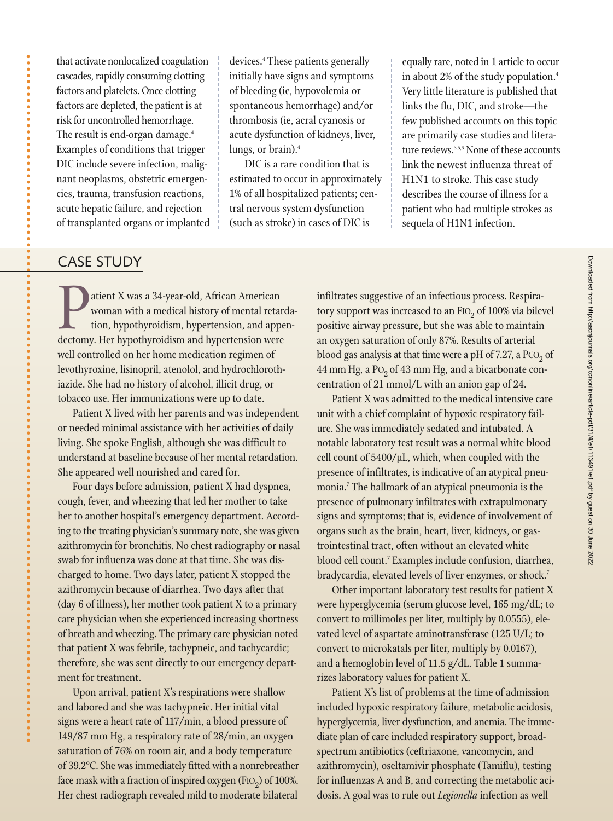that activate nonlocalized coagulation cascades, rapidly consuming clotting factors and platelets. Once clotting factors are depleted, the patient is at risk for uncontrolled hemorrhage. The result is end-organ damage.<sup>4</sup> Examples of conditions that trigger DIC include severe infection, malignant neoplasms, obstetric emergencies, trauma, transfusion reactions, acute hepatic failure, and rejection of transplanted organs or implanted devices.4 These patients generally initially have signs and symptoms of bleeding (ie, hypovolemia or spontaneous hemorrhage) and/or thrombosis (ie, acral cyanosis or acute dysfunction of kidneys, liver, lungs, or brain).4

DIC is a rare condition that is estimated to occur in approximately 1% of all hospitalized patients; central nervous system dysfunction (such as stroke) in cases of DIC is

equally rare, noted in 1 article to occur in about 2% of the study population.<sup>4</sup> Very little literature is published that links the flu, DIC, and stroke—the few published accounts on this topic are primarily case studies and literature reviews.<sup>3,5,6</sup> None of these accounts link the newest influenza threat of H1N1 to stroke. This case study describes the course of illness for a patient who had multiple strokes as sequela of H1N1 infection.

## CASE STUDY

**Patient X was a 34-year-old, African American**<br>
woman with a medical history of mental retar<br>
tion, hypothyroidism, hypertension, and appe<br>
dectomy. Her hypothyroidism and hypertension were woman with a medical history of mental retardation, hypothyroidism, hypertension, and appenwell controlled on her home medication regimen of levothyroxine, lisinopril, atenolol, and hydrochlorothiazide. She had no history of alcohol, illicit drug, or tobacco use. Her immunizations were up to date.

Patient X lived with her parents and was independent or needed minimal assistance with her activities of daily living. She spoke English, although she was difficult to understand at baseline because of her mental retardation. She appeared well nourished and cared for.

Four days before admission, patient X had dyspnea, cough, fever, and wheezing that led her mother to take her to another hospital's emergency department. According to the treating physician's summary note, she was given azithromycin for bronchitis. No chest radiography or nasal swab for influenza was done at that time. She was discharged to home. Two days later, patient X stopped the azithromycin because of diarrhea. Two days after that (day 6 of illness), her mother took patient X to a primary care physician when she experienced increasing shortness of breath and wheezing. The primary care physician noted that patient X was febrile, tachypneic, and tachycardic; therefore, she was sent directly to our emergency department for treatment.

Upon arrival, patient X's respirations were shallow and labored and she was tachypneic. Her initial vital signs were a heart rate of 117/min, a blood pressure of 149/87 mm Hg, a respiratory rate of 28/min, an oxygen saturation of 76% on room air, and a body temperature of 39.2ºC. She was immediately fitted with a nonrebreather face mask with a fraction of inspired oxygen (FIO<sub>2</sub>) of 100%. Her chest radiograph revealed mild to moderate bilateral

infiltrates suggestive of an infectious process. Respiratory support was increased to an FIO<sub>2</sub> of 100% via bilevel positive airway pressure, but she was able to maintain an oxygen saturation of only 87%. Results of arterial blood gas analysis at that time were a pH of  $7.27$ , a  $PCO<sub>2</sub>$  of 44 mm Hg, a  $Po<sub>2</sub>$  of 43 mm Hg, and a bicarbonate concentration of 21 mmol/L with an anion gap of 24.

Patient X was admitted to the medical intensive care unit with a chief complaint of hypoxic respiratory failure. She was immediately sedated and intubated. A notable laboratory test result was a normal white blood cell count of 5400/μL, which, when coupled with the presence of infiltrates, is indicative of an atypical pneumonia.7 The hallmark of an atypical pneumonia is the presence of pulmonary infiltrates with extrapulmonary signs and symptoms; that is, evidence of involvement of organs such as the brain, heart, liver, kidneys, or gastrointestinal tract, often without an elevated white blood cell count.7 Examples include confusion, diarrhea, bradycardia, elevated levels of liver enzymes, or shock.<sup>7</sup>

Other important laboratory test results for patient X were hyperglycemia (serum glucose level, 165 mg/dL; to convert to millimoles per liter, multiply by 0.0555), elevated level of aspartate aminotransferase (125 U/L; to convert to microkatals per liter, multiply by 0.0167), and a hemoglobin level of 11.5 g/dL. Table 1 summarizes laboratory values for patient X.

Patient X's list of problems at the time of admission included hypoxic respiratory failure, metabolic acidosis, hyperglycemia, liver dysfunction, and anemia. The immediate plan of care included respiratory support, broadspectrum antibiotics (ceftriaxone, vancomycin, and azithromycin), oseltamivir phosphate (Tamiflu), testing for influenzas A and B, and correcting the metabolic acidosis. A goal was to rule out *Legionella* infection as well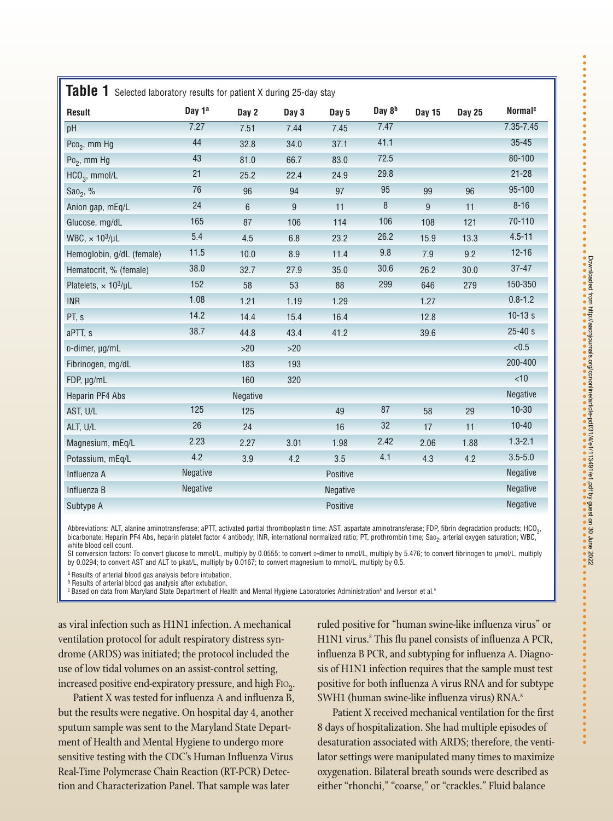| Result                         | Day 1ª          | Day 2           | Day 3 | Day 5    | Day 8 <sup>b</sup> | Day 15 | <b>Day 25</b> | Normal <sup>c</sup> |
|--------------------------------|-----------------|-----------------|-------|----------|--------------------|--------|---------------|---------------------|
| pH                             | 7.27            | 7.51            | 7.44  | 7.45     | 7.47               |        |               | $7.35 - 7.45$       |
| Pco <sub>2</sub> , mm Hg       | 44              | 32.8            | 34.0  | 37.1     | 41.1               |        |               | $35 - 45$           |
| $Po_2$ , mm Hg                 | 43              | 81.0            | 66.7  | 83.0     | 72.5               |        |               | 80-100              |
| $HCO3$ , mmol/L                | 21              | 25.2            | 22.4  | 24.9     | 29.8               |        |               | $21 - 28$           |
| Sao <sub>2</sub> , %           | 76              | 96              | 94    | 97       | 95                 | 99     | 96            | 95-100              |
| Anion gap, mEq/L               | 24              | $6\overline{6}$ | 9     | 11       | $\boldsymbol{8}$   | 9      | 11            | $8 - 16$            |
| Glucose, mg/dL                 | 165             | 87              | 106   | 114      | 106                | 108    | 121           | 70-110              |
| WBC, $\times 10^3/\mu L$       | 5.4             | 4.5             | 6.8   | 23.2     | 26.2               | 15.9   | 13.3          | $4.5 - 11$          |
| Hemoglobin, g/dL (female)      | 11.5            | 10.0            | 8.9   | 11.4     | 9.8                | 7.9    | 9.2           | $12 - 16$           |
| Hematocrit, % (female)         | 38.0            | 32.7            | 27.9  | 35.0     | 30.6               | 26.2   | 30.0          | $37 - 47$           |
| Platelets, $\times 10^3/\mu L$ | 152             | 58              | 53    | 88       | 299                | 646    | 279           | 150-350             |
| <b>INR</b>                     | 1.08            | 1.21            | 1.19  | 1.29     |                    | 1.27   |               | $0.8 - 1.2$         |
| PT, s                          | 14.2            | 14.4            | 15.4  | 16.4     |                    | 12.8   |               | $10-13 s$           |
| aPTT, s                        | 38.7            | 44.8            | 43.4  | 41.2     |                    | 39.6   |               | $25 - 40s$          |
| D-dimer, µg/mL                 |                 | $>20$           | $>20$ |          |                    |        |               | < 0.5               |
| Fibrinogen, mg/dL              |                 | 183             | 193   |          |                    |        |               | 200-400             |
| FDP, µg/mL                     |                 | 160             | 320   |          |                    |        |               | < 10                |
| Heparin PF4 Abs                |                 | Negative        |       |          |                    |        |               | Negative            |
| AST, U/L                       | 125             | 125             |       | 49       | 87                 | 58     | 29            | $10 - 30$           |
| ALT, U/L                       | 26              | 24              |       | 16       | 32                 | 17     | 11            | $10 - 40$           |
| Magnesium, mEq/L               | 2.23            | 2.27            | 3.01  | 1.98     | 2.42               | 2.06   | 1.88          | $1.3 - 2.1$         |
| Potassium, mEq/L               | 4.2             | 3.9             | 4.2   | 3.5      | 4.1                | 4.3    | 4.2           | $3.5 - 5.0$         |
| Influenza A                    | <b>Negative</b> |                 |       | Positive |                    |        |               | Negative            |
| Influenza B                    | Negative        |                 |       | Negative |                    |        |               | Negative            |
| Subtype A                      |                 |                 |       | Positive |                    |        |               | Negative            |

Abbreviations: ALT, alanine aminotransferase; aPTT, activated partial thromboplastin time; AST, aspartate aminotransferase; FDP, fibrin degradation products; HCO<sub>3</sub>, bicarbonate; Heparin PF4 Abs, heparin platelet factor 4 antibody; INR, international normalized ratio; PT, prothrombin time; Sao<sub>2</sub>, arterial oxygen saturation; WBC, white blood cell count.

SI conversion factors: To convert glucose to mmol/L, multiply by 0.0555; to convert p-dimer to nmol/L, multiply by 5.476; to convert fibrinogen to µmol/L, multiply<br>by 0.0294; to convert AST and ALT to µkat/L, multiply by 0

a Results of arterial blood gas analysis before intubation.

**b** Results of arterial blood gas analysis after extubation.

<sup>c</sup> Based on data from Maryland State Department of Health and Mental Hygiene Laboratories Administration<sup>8</sup> and Iverson et al.<sup>9</sup>

as viral infection such as H1N1 infection. A mechanical ventilation protocol for adult respiratory distress syndrome (ARDS) was initiated; the protocol included the use of low tidal volumes on an assist-control setting, increased positive end-expiratory pressure, and high FIO<sub>2</sub>.

Patient X was tested for influenza A and influenza B, but the results were negative. On hospital day 4, another sputum sample was sent to the Maryland State Department of Health and Mental Hygiene to undergo more sensitive testing with the CDC's Human Influenza Virus Real-Time Polymerase Chain Reaction (RT-PCR) Detection and Characterization Panel. That sample was later

ruled positive for "human swine-like influenza virus" or H1N1 virus.<sup>8</sup> This flu panel consists of influenza A PCR, influenza B PCR, and subtyping for influenza A. Diagnosis of H1N1 infection requires that the sample must test positive for both influenza A virus RNA and for subtype SWH1 (human swine-like influenza virus) RNA.8

Patient X received mechanical ventilation for the first 8 days of hospitalization. She had multiple episodes of desaturation associated with ARDS; therefore, the ventilator settings were manipulated many times to maximize oxygenation. Bilateral breath sounds were described as either "rhonchi," "coarse," or "crackles." Fluid balance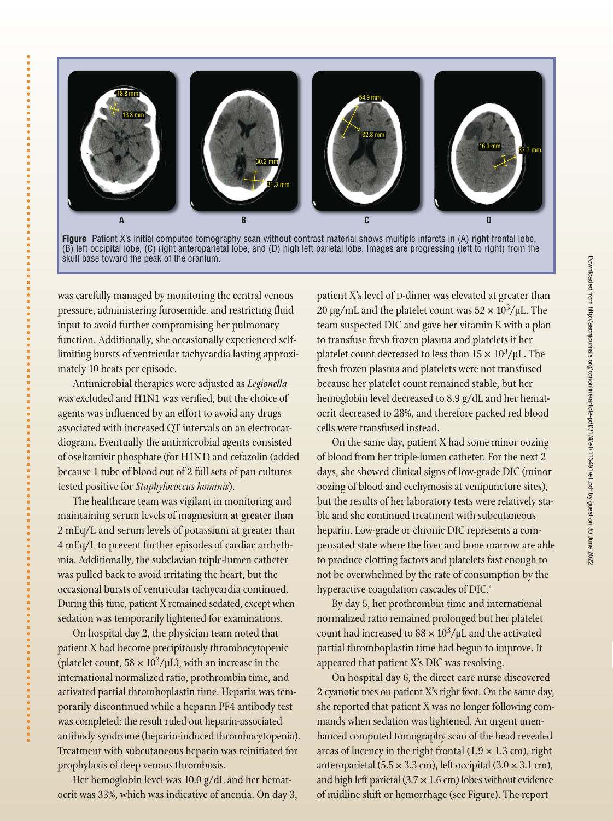



was carefully managed by monitoring the central venous pressure, administering furosemide, and restricting fluid input to avoid further compromising her pulmonary function. Additionally, she occasionally experienced selflimiting bursts of ventricular tachycardia lasting approximately 10 beats per episode.

Antimicrobial therapies were adjusted as *Legionella* was excluded and H1N1 was verified, but the choice of agents was influenced by an effort to avoid any drugs associated with increased QT intervals on an electrocardiogram. Eventually the antimicrobial agents consisted of oseltamivir phosphate (for H1N1) and cefazolin (added because 1 tube of blood out of 2 full sets of pan cultures tested positive for *Staphylococcus hominis*).

The healthcare team was vigilant in monitoring and maintaining serum levels of magnesium at greater than 2 mEq/L and serum levels of potassium at greater than 4 mEq/L to prevent further episodes of cardiac arrhythmia. Additionally, the subclavian triple-lumen catheter was pulled back to avoid irritating the heart, but the occasional bursts of ventricular tachycardia continued. During this time, patient X remained sedated, except when sedation was temporarily lightened for examinations.

On hospital day 2, the physician team noted that patient X had become precipitously thrombocytopenic (platelet count,  $58 \times 10^3/\mu$ L), with an increase in the international normalized ratio, prothrombin time, and activated partial thromboplastin time. Heparin was temporarily discontinued while a heparin PF4 antibody test was completed; the result ruled out heparin-associated antibody syndrome (heparin-induced thrombocytopenia). Treatment with subcutaneous heparin was reinitiated for prophylaxis of deep venous thrombosis.

Her hemoglobin level was 10.0 g/dL and her hematocrit was 33%, which was indicative of anemia. On day 3, patient X's level of D-dimer was elevated at greater than 20 μg/mL and the platelet count was  $52 \times 10^3$ /μL. The team suspected DIC and gave her vitamin K with a plan to transfuse fresh frozen plasma and platelets if her platelet count decreased to less than  $15 \times 10^3/\mu$ L. The fresh frozen plasma and platelets were not transfused because her platelet count remained stable, but her hemoglobin level decreased to 8.9 g/dL and her hematocrit decreased to 28%, and therefore packed red blood cells were transfused instead.

On the same day, patient X had some minor oozing of blood from her triple-lumen catheter. For the next 2 days, she showed clinical signs of low-grade DIC (minor oozing of blood and ecchymosis at venipuncture sites), but the results of her laboratory tests were relatively stable and she continued treatment with subcutaneous heparin. Low-grade or chronic DIC represents a compensated state where the liver and bone marrow are able to produce clotting factors and platelets fast enough to not be overwhelmed by the rate of consumption by the hyperactive coagulation cascades of DIC.<sup>4</sup>

By day 5, her prothrombin time and international normalized ratio remained prolonged but her platelet count had increased to  $88 \times 10^3/\mu$ L and the activated partial thromboplastin time had begun to improve. It appeared that patient X's DIC was resolving.

On hospital day 6, the direct care nurse discovered 2 cyanotic toes on patient X's right foot. On the same day, she reported that patient X was no longer following commands when sedation was lightened. An urgent unenhanced computed tomography scan of the head revealed areas of lucency in the right frontal  $(1.9 \times 1.3 \text{ cm})$ , right anteroparietal (5.5  $\times$  3.3 cm), left occipital (3.0  $\times$  3.1 cm), and high left parietal  $(3.7 \times 1.6 \text{ cm})$  lobes without evidence of midline shift or hemorrhage (see Figure). The report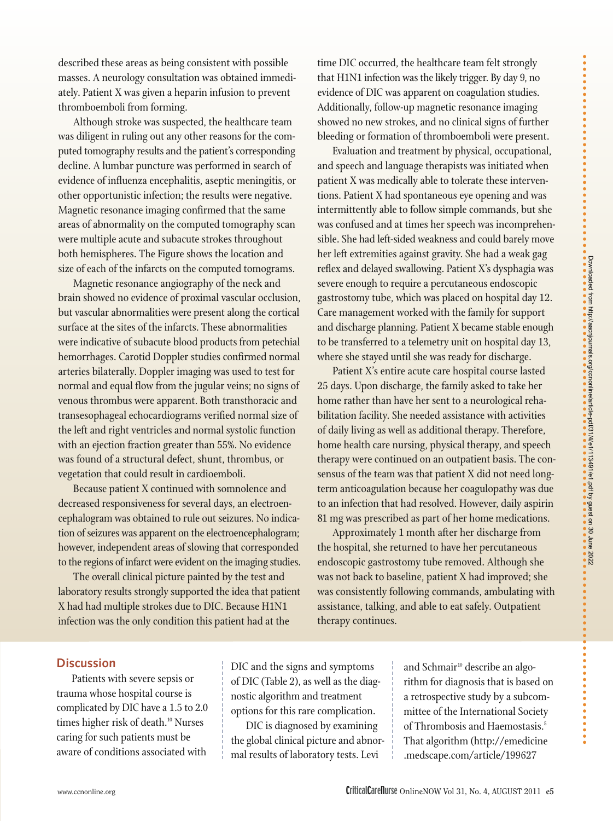described these areas as being consistent with possible masses. A neurology consultation was obtained immediately. Patient X was given a heparin infusion to prevent thrombo emboli from forming.

Although stroke was suspected, the healthcare team was diligent in ruling out any other reasons for the computed tomography results and the patient's corresponding decline. A lumbar puncture was performed in search of evidence of influenza encephalitis, aseptic meningitis, or other opportunistic infection; the results were negative. Magnetic resonance imaging confirmed that the same areas of abnormality on the computed tomography scan were multiple acute and subacute strokes throughout both hemispheres. The Figure shows the location and size of each of the infarcts on the computed tomograms.

Magnetic resonance angiography of the neck and brain showed no evidence of proximal vascular occlusion, but vascular abnormalities were present along the cortical surface at the sites of the infarcts. These abnormalities were indicative of subacute blood products from petechial hemorrhages. Carotid Doppler studies confirmed normal arteries bilaterally. Doppler imaging was used to test for normal and equal flow from the jugular veins; no signs of venous thrombus were apparent. Both transthoracic and transesophageal echocardiograms verified normal size of the left and right ventricles and normal systolic function with an ejection fraction greater than 55%. No evidence was found of a structural defect, shunt, thrombus, or vegetation that could result in cardioemboli.

Because patient X continued with somnolence and decreased responsiveness for several days, an electroencephalogram was obtained to rule out seizures. No indication of seizures was apparent on the electroencephalogram; however, independent areas of slowing that corresponded to the regions of infarct were evident on the imaging studies.

The overall clinical picture painted by the test and laboratory results strongly supported the idea that patient X had had multiple strokes due to DIC. Because H1N1 infection was the only condition this patient had at the

time DIC occurred, the healthcare team felt strongly that H1N1 infection was the likely trigger. By day 9, no evidence of DIC was apparent on coagulation studies. Additionally, follow-up magnetic resonance imaging showed no new strokes, and no clinical signs of further bleeding or formation of thromboemboli were present.

Evaluation and treatment by physical, occupational, and speech and language therapists was initiated when patient X was medically able to tolerate these interventions. Patient X had spontaneous eye opening and was intermittently able to follow simple commands, but she was confused and at times her speech was incomprehensible. She had left-sided weakness and could barely move her left extremities against gravity. She had a weak gag reflex and delayed swallowing. Patient X's dysphagia was severe enough to require a percutaneous endoscopic gastrostomy tube, which was placed on hospital day 12. Care management worked with the family for support and discharge planning. Patient X became stable enough to be transferred to a telemetry unit on hospital day 13, where she stayed until she was ready for discharge.

Patient X's entire acute care hospital course lasted 25 days. Upon discharge, the family asked to take her home rather than have her sent to a neurological rehabilitation facility. She needed assistance with activities of daily living as well as additional therapy. Therefore, home health care nursing, physical therapy, and speech therapy were continued on an outpatient basis. The consensus of the team was that patient X did not need longterm anticoagulation because her coagulopathy was due to an infection that had resolved. However, daily aspirin 81 mg was prescribed as part of her home medications.

Approximately 1 month after her discharge from the hospital, she returned to have her percutaneous endoscopic gastrostomy tube removed. Although she was not back to baseline, patient X had improved; she was consistently following commands, ambulating with assistance, talking, and able to eat safely. Outpatient therapy continues.

## **Discussion**

Patients with severe sepsis or trauma whose hospital course is complicated by DIC have a 1.5 to 2.0 times higher risk of death.<sup>10</sup> Nurses caring for such patients must be aware of conditions associated with

DIC and the signs and symptoms of DIC (Table 2), as well as the diagnostic algorithm and treatment options for this rare complication.

DIC is diagnosed by examining the global clinical picture and abnormal results of laboratory tests. Levi

and Schmair<sup>10</sup> describe an algorithm for diagnosis that is based on a retrospective study by a subcommittee of the International Society of Thrombosis and Haemostasis.<sup>5</sup> That algorithm (http://emedicine .medscape.com/article/199627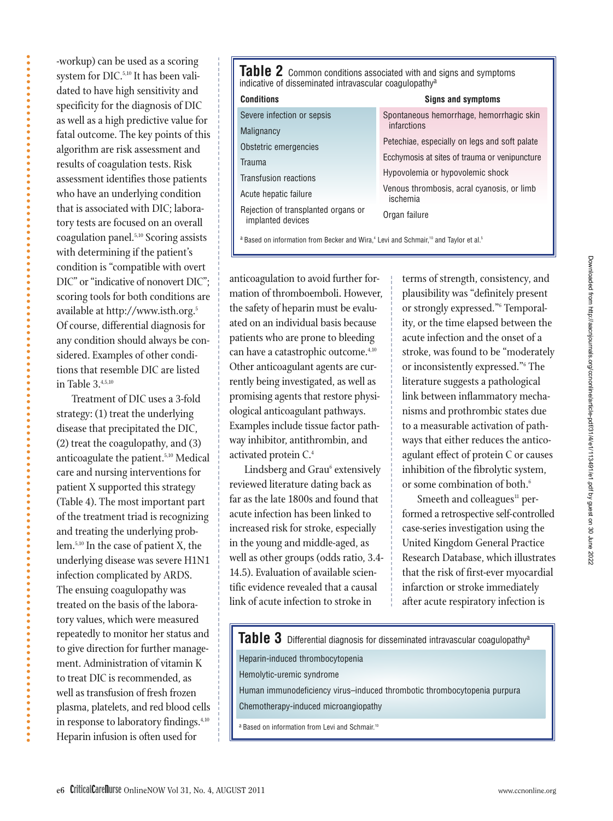dated to have high sensitivity and specificity for the diagnosis of DIC as well as a high predictive value for fatal outcome. The key points of this algorithm are risk assessment and results of coagulation tests. Risk assessment identifies those patients who have an underlying condition that is associated with DIC; laboratory tests are focused on an overall coagulation panel.5,10 Scoring assists with determining if the patient's condition is "compatible with overt DIC" or "indicative of nonovert DIC"; scoring tools for both conditions are available at http://www.isth.org.5 Of course, differential diagnosis for any condition should always be considered. Examples of other conditions that resemble DIC are listed in Table  $3^{4,5,10}$ Treatment of DIC uses a 3-fold strategy: (1) treat the underlying disease that precipitated the DIC,

-workup) can be used as a scoring system for DIC.<sup>5,10</sup> It has been vali-

(2) treat the coagulopathy, and (3) anticoagulate the patient.<sup>5,10</sup> Medical care and nursing interventions for patient X supported this strategy (Table 4). The most important part of the treatment triad is recognizing and treating the underlying problem.5,10 In the case of patient X, the underlying disease was severe H1N1 infection complicated by ARDS. The ensuing coagulopathy was treated on the basis of the laboratory values, which were measured repeatedly to monitor her status and to give direction for further management. Administration of vitamin K to treat DIC is recommended, as well as transfusion of fresh frozen plasma, platelets, and red blood cells in response to laboratory findings.<sup>4,10</sup> Heparin infusion is often used for

**Table 2** Common conditions associated with and signs and symptoms indicative of disseminated intravascular coagulopathy<sup>a</sup>

| Conditions                                               | <b>Signs and symptoms</b>                                                                                                          |  |  |  |
|----------------------------------------------------------|------------------------------------------------------------------------------------------------------------------------------------|--|--|--|
| Severe infection or sepsis                               | Spontaneous hemorrhage, hemorrhagic skin                                                                                           |  |  |  |
| Malignancy                                               | infarctions                                                                                                                        |  |  |  |
| Obstetric emergencies                                    | Petechiae, especially on legs and soft palate<br>Ecchymosis at sites of trauma or venipuncture<br>Hypovolemia or hypovolemic shock |  |  |  |
| Trauma                                                   |                                                                                                                                    |  |  |  |
| <b>Transfusion reactions</b>                             |                                                                                                                                    |  |  |  |
| Acute hepatic failure                                    | Venous thrombosis, acral cyanosis, or limb<br>ischemia                                                                             |  |  |  |
| Rejection of transplanted organs or<br>implanted devices | Organ failure                                                                                                                      |  |  |  |

a Based on information from Becker and Wira,<sup>4</sup> Levi and Schmair,<sup>10</sup> and Taylor et al.<sup>5</sup>

anticoagulation to avoid further formation of thromboemboli. However, the safety of heparin must be evaluated on an individual basis because patients who are prone to bleeding can have a catastrophic outcome.<sup>4,10</sup> Other anticoagulant agents are currently being investigated, as well as promising agents that restore physiological anticoagulant pathways. Examples include tissue factor pathway inhibitor, antithrombin, and activated protein C.4

**Conditions**

 $\overline{N}$ 

 $\overline{\text{Tr}}$ 

Lindsberg and Grau<sup>6</sup> extensively reviewed literature dating back as far as the late 1800s and found that acute infection has been linked to increased risk for stroke, especially in the young and middle-aged, as well as other groups (odds ratio, 3.4- 14.5). Evaluation of available scientific evidence revealed that a causal link of acute infection to stroke in

terms of strength, consistency, and plausibility was "definitely present or strongly expressed."6 Temporality, or the time elapsed between the acute infection and the onset of a stroke, was found to be "moderately or inconsistently expressed."6 The literature suggests a pathological link between inflammatory mechanisms and prothrombic states due to a measurable activation of pathways that either reduces the anticoagulant effect of protein C or causes inhibition of the fibrolytic system, or some combination of both.<sup>6</sup>

Smeeth and colleagues<sup>11</sup> performed a retrospective self-controlled case-series investigation using the United Kingdom General Practice Research Database, which illustrates that the risk of first-ever myocardial infarction or stroke immediately after acute respiratory infection is

**Table 3** Differential diagnosis for disseminated intravascular coagulopathya

Heparin-induced thrombocytopenia Hemolytic-uremic syndrome Human immunodeficiency virus–induced thrombotic thrombocytopenia purpura Chemotherapy-induced microangiopathy

a Based on information from Levi and Schmair.<sup>10</sup>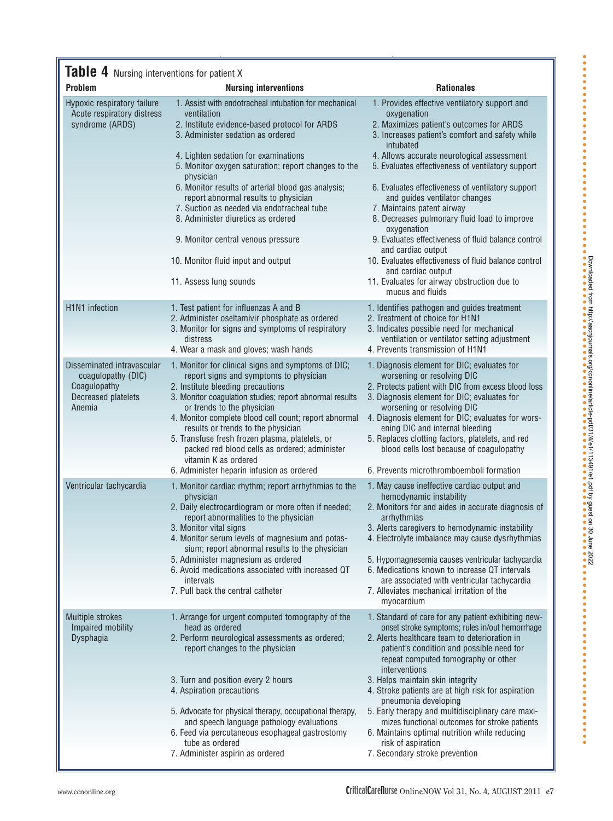# **Table 4** Nursing interventions for patient X

| <b>Problem</b>                                                                                    | <b>Nursing interventions</b>                                                                                                                                                                                                                                                                                                                                                                                                  | <b>Rationales</b>                                                                                                                                                                                                                                                                                                                                                                                     |  |  |
|---------------------------------------------------------------------------------------------------|-------------------------------------------------------------------------------------------------------------------------------------------------------------------------------------------------------------------------------------------------------------------------------------------------------------------------------------------------------------------------------------------------------------------------------|-------------------------------------------------------------------------------------------------------------------------------------------------------------------------------------------------------------------------------------------------------------------------------------------------------------------------------------------------------------------------------------------------------|--|--|
| Hypoxic respiratory failure<br>Acute respiratory distress<br>syndrome (ARDS)                      | 1. Assist with endotracheal intubation for mechanical<br>ventilation<br>2. Institute evidence-based protocol for ARDS<br>3. Administer sedation as ordered<br>4. Lighten sedation for examinations                                                                                                                                                                                                                            | 1. Provides effective ventilatory support and<br>oxygenation<br>2. Maximizes patient's outcomes for ARDS<br>3. Increases patient's comfort and safety while<br>intubated<br>4. Allows accurate neurological assessment                                                                                                                                                                                |  |  |
|                                                                                                   | 5. Monitor oxygen saturation; report changes to the<br>physician<br>6. Monitor results of arterial blood gas analysis;                                                                                                                                                                                                                                                                                                        | 5. Evaluates effectiveness of ventilatory support<br>6. Evaluates effectiveness of ventilatory support                                                                                                                                                                                                                                                                                                |  |  |
|                                                                                                   | report abnormal results to physician<br>7. Suction as needed via endotracheal tube<br>8. Administer diuretics as ordered                                                                                                                                                                                                                                                                                                      | and guides ventilator changes<br>7. Maintains patent airway<br>8. Decreases pulmonary fluid load to improve<br>oxygenation                                                                                                                                                                                                                                                                            |  |  |
|                                                                                                   | 9. Monitor central venous pressure                                                                                                                                                                                                                                                                                                                                                                                            | 9. Evaluates effectiveness of fluid balance control<br>and cardiac output                                                                                                                                                                                                                                                                                                                             |  |  |
|                                                                                                   | 10. Monitor fluid input and output<br>11. Assess lung sounds                                                                                                                                                                                                                                                                                                                                                                  | 10. Evaluates effectiveness of fluid balance control<br>and cardiac output<br>11. Evaluates for airway obstruction due to                                                                                                                                                                                                                                                                             |  |  |
|                                                                                                   |                                                                                                                                                                                                                                                                                                                                                                                                                               | mucus and fluids                                                                                                                                                                                                                                                                                                                                                                                      |  |  |
| <b>H1N1</b> infection                                                                             | 1. Test patient for influenzas A and B<br>2. Administer oseltamivir phosphate as ordered<br>3. Monitor for signs and symptoms of respiratory<br>distress                                                                                                                                                                                                                                                                      | 1. Identifies pathogen and guides treatment<br>2. Treatment of choice for H1N1<br>3. Indicates possible need for mechanical                                                                                                                                                                                                                                                                           |  |  |
|                                                                                                   | 4. Wear a mask and gloves; wash hands                                                                                                                                                                                                                                                                                                                                                                                         | ventilation or ventilator setting adjustment<br>4. Prevents transmission of H1N1                                                                                                                                                                                                                                                                                                                      |  |  |
| Disseminated intravascular<br>coagulopathy (DIC)<br>Coagulopathy<br>Decreased platelets<br>Anemia | 1. Monitor for clinical signs and symptoms of DIC;<br>report signs and symptoms to physician<br>2. Institute bleeding precautions<br>3. Monitor coagulation studies; report abnormal results<br>or trends to the physician<br>4. Monitor complete blood cell count; report abnormal<br>results or trends to the physician<br>5. Transfuse fresh frozen plasma, platelets, or<br>packed red blood cells as ordered; administer | 1. Diagnosis element for DIC; evaluates for<br>worsening or resolving DIC<br>2. Protects patient with DIC from excess blood loss<br>3. Diagnosis element for DIC; evaluates for<br>worsening or resolving DIC<br>4. Diagnosis element for DIC; evaluates for wors-<br>ening DIC and internal bleeding<br>5. Replaces clotting factors, platelets, and red<br>blood cells lost because of coagulopathy |  |  |
|                                                                                                   | vitamin K as ordered                                                                                                                                                                                                                                                                                                                                                                                                          |                                                                                                                                                                                                                                                                                                                                                                                                       |  |  |
|                                                                                                   | 6. Administer heparin infusion as ordered                                                                                                                                                                                                                                                                                                                                                                                     | 6. Prevents microthromboemboli formation                                                                                                                                                                                                                                                                                                                                                              |  |  |
| Ventricular tachycardia                                                                           | 1. Monitor cardiac rhythm; report arrhythmias to the<br>physician<br>2. Daily electrocardiogram or more often if needed;<br>report abnormalities to the physician<br>3. Monitor vital signs<br>4. Monitor serum levels of magnesium and potas-<br>sium; report abnormal results to the physician                                                                                                                              | 1. May cause ineffective cardiac output and<br>hemodynamic instability<br>2. Monitors for and aides in accurate diagnosis of<br>arrhythmias<br>3. Alerts caregivers to hemodynamic instability<br>4. Electrolyte imbalance may cause dysrhythmias                                                                                                                                                     |  |  |
|                                                                                                   | 5. Administer magnesium as ordered<br>6. Avoid medications associated with increased QT<br>intervals                                                                                                                                                                                                                                                                                                                          | 5. Hypomagnesemia causes ventricular tachycardia<br>6. Medications known to increase QT intervals<br>are associated with ventricular tachycardia                                                                                                                                                                                                                                                      |  |  |
|                                                                                                   | 7. Pull back the central catheter                                                                                                                                                                                                                                                                                                                                                                                             | 7. Alleviates mechanical irritation of the<br>myocardium                                                                                                                                                                                                                                                                                                                                              |  |  |
| <b>Multiple strokes</b><br>Impaired mobility<br>Dysphagia                                         | 1. Arrange for urgent computed tomography of the<br>head as ordered<br>2. Perform neurological assessments as ordered;<br>report changes to the physician                                                                                                                                                                                                                                                                     | 1. Standard of care for any patient exhibiting new-<br>onset stroke symptoms; rules in/out hemorrhage<br>2. Alerts healthcare team to deterioration in<br>patient's condition and possible need for<br>repeat computed tomography or other<br>interventions                                                                                                                                           |  |  |
|                                                                                                   | 3. Turn and position every 2 hours<br>4. Aspiration precautions                                                                                                                                                                                                                                                                                                                                                               | 3. Helps maintain skin integrity<br>4. Stroke patients are at high risk for aspiration<br>pneumonia developing                                                                                                                                                                                                                                                                                        |  |  |
|                                                                                                   | 5. Advocate for physical therapy, occupational therapy,<br>and speech language pathology evaluations<br>6. Feed via percutaneous esophageal gastrostomy                                                                                                                                                                                                                                                                       | 5. Early therapy and multidisciplinary care maxi-<br>mizes functional outcomes for stroke patients<br>6. Maintains optimal nutrition while reducing                                                                                                                                                                                                                                                   |  |  |
|                                                                                                   | tube as ordered<br>7. Administer aspirin as ordered                                                                                                                                                                                                                                                                                                                                                                           | risk of aspiration<br>7. Secondary stroke prevention                                                                                                                                                                                                                                                                                                                                                  |  |  |